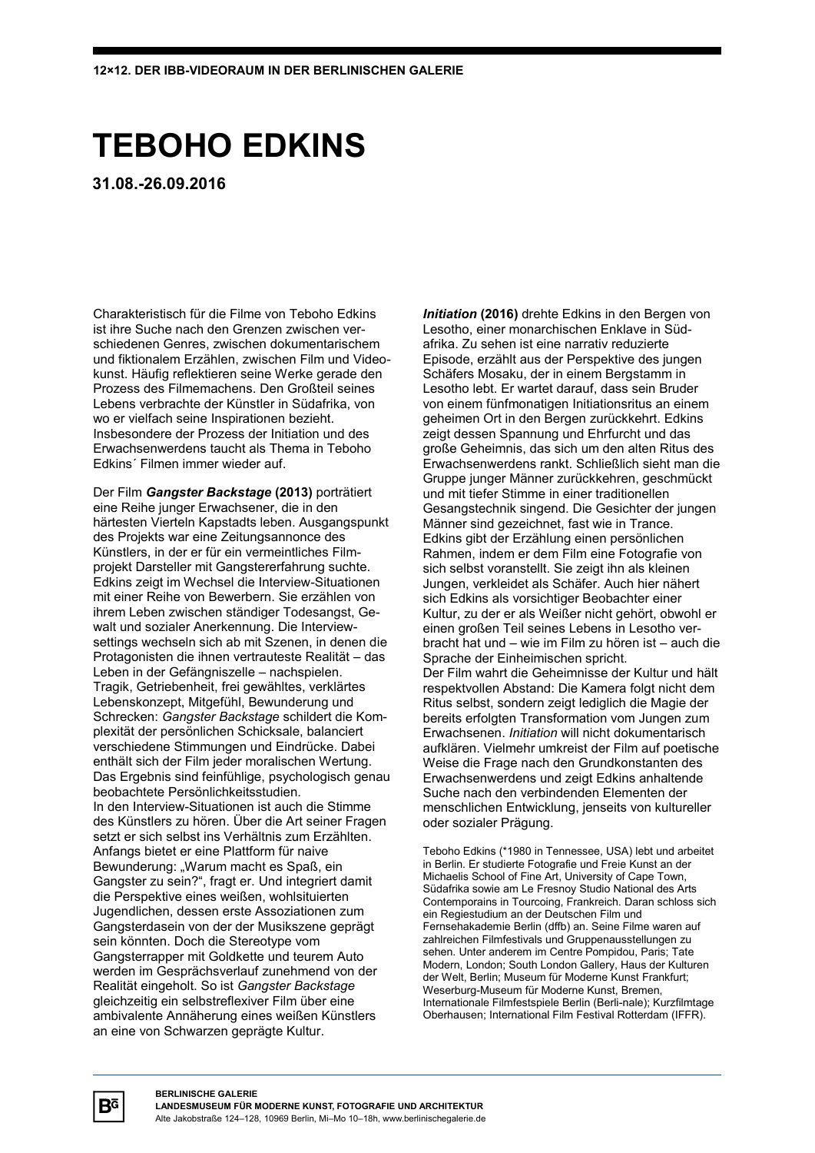## **TEBOHO EDKINS**

**31.08.-26.09.2016**

Charakteristisch für die Filme von Teboho Edkins ist ihre Suche nach den Grenzen zwischen verschiedenen Genres, zwischen dokumentarischem und fiktionalem Erzählen, zwischen Film und Videokunst. Häufig reflektieren seine Werke gerade den Prozess des Filmemachens. Den Großteil seines Lebens verbrachte der Künstler in Südafrika, von wo er vielfach seine Inspirationen bezieht. Insbesondere der Prozess der Initiation und des Erwachsenwerdens taucht als Thema in Teboho Edkins´ Filmen immer wieder auf.

Der Film *Gangster Backstage* **(2013)** porträtiert eine Reihe junger Erwachsener, die in den härtesten Vierteln Kapstadts leben. Ausgangspunkt des Projekts war eine Zeitungsannonce des Künstlers, in der er für ein vermeintliches Filmprojekt Darsteller mit Gangstererfahrung suchte. Edkins zeigt im Wechsel die Interview-Situationen mit einer Reihe von Bewerbern. Sie erzählen von ihrem Leben zwischen ständiger Todesangst, Gewalt und sozialer Anerkennung. Die Interviewsettings wechseln sich ab mit Szenen, in denen die Protagonisten die ihnen vertrauteste Realität – das Leben in der Gefängniszelle – nachspielen. Tragik, Getriebenheit, frei gewähltes, verklärtes Lebenskonzept, Mitgefühl, Bewunderung und Schrecken: *Gangster Backstage* schildert die Komplexität der persönlichen Schicksale, balanciert verschiedene Stimmungen und Eindrücke. Dabei enthält sich der Film jeder moralischen Wertung. Das Ergebnis sind feinfühlige, psychologisch genau beobachtete Persönlichkeitsstudien. In den Interview-Situationen ist auch die Stimme des Künstlers zu hören. Über die Art seiner Fragen setzt er sich selbst ins Verhältnis zum Erzählten. Anfangs bietet er eine Plattform für naive Bewunderung: "Warum macht es Spaß, ein Gangster zu sein?", fragt er. Und integriert damit die Perspektive eines weißen, wohlsituierten Jugendlichen, dessen erste Assoziationen zum Gangsterdasein von der der Musikszene geprägt sein könnten. Doch die Stereotype vom Gangsterrapper mit Goldkette und teurem Auto werden im Gesprächsverlauf zunehmend von der Realität eingeholt. So ist *Gangster Backstage* gleichzeitig ein selbstreflexiver Film über eine ambivalente Annäherung eines weißen Künstlers an eine von Schwarzen geprägte Kultur.

*Initiation* **(2016)** drehte Edkins in den Bergen von Lesotho, einer monarchischen Enklave in Südafrika. Zu sehen ist eine narrativ reduzierte Episode, erzählt aus der Perspektive des jungen Schäfers Mosaku, der in einem Bergstamm in Lesotho lebt. Er wartet darauf, dass sein Bruder von einem fünfmonatigen Initiationsritus an einem geheimen Ort in den Bergen zurückkehrt. Edkins zeigt dessen Spannung und Ehrfurcht und das große Geheimnis, das sich um den alten Ritus des Erwachsenwerdens rankt. Schließlich sieht man die Gruppe junger Männer zurückkehren, geschmückt und mit tiefer Stimme in einer traditionellen Gesangstechnik singend. Die Gesichter der jungen Männer sind gezeichnet, fast wie in Trance. Edkins gibt der Erzählung einen persönlichen Rahmen, indem er dem Film eine Fotografie von sich selbst voranstellt. Sie zeigt ihn als kleinen Jungen, verkleidet als Schäfer. Auch hier nähert sich Edkins als vorsichtiger Beobachter einer Kultur, zu der er als Weißer nicht gehört, obwohl er einen großen Teil seines Lebens in Lesotho verbracht hat und – wie im Film zu hören ist – auch die Sprache der Einheimischen spricht. Der Film wahrt die Geheimnisse der Kultur und hält respektvollen Abstand: Die Kamera folgt nicht dem Ritus selbst, sondern zeigt lediglich die Magie der bereits erfolgten Transformation vom Jungen zum Erwachsenen. *Initiation* will nicht dokumentarisch aufklären. Vielmehr umkreist der Film auf poetische Weise die Frage nach den Grundkonstanten des Erwachsenwerdens und zeigt Edkins anhaltende Suche nach den verbindenden Elementen der menschlichen Entwicklung, jenseits von kultureller oder sozialer Prägung.

Teboho Edkins (\*1980 in Tennessee, USA) lebt und arbeitet in Berlin. Er studierte Fotografie und Freie Kunst an der Michaelis School of Fine Art, University of Cape Town, Südafrika sowie am Le Fresnoy Studio National des Arts Contemporains in Tourcoing, Frankreich. Daran schloss sich ein Regiestudium an der Deutschen Film und Fernsehakademie Berlin (dffb) an. Seine Filme waren auf zahlreichen Filmfestivals und Gruppenausstellungen zu sehen. Unter anderem im Centre Pompidou, Paris; Tate Modern, London; South London Gallery, Haus der Kulturen der Welt, Berlin; Museum für Moderne Kunst Frankfurt; Weserburg-Museum für Moderne Kunst, Bremen, Internationale Filmfestspiele Berlin (Berli-nale); Kurzfilmtage Oberhausen; International Film Festival Rotterdam (IFFR).